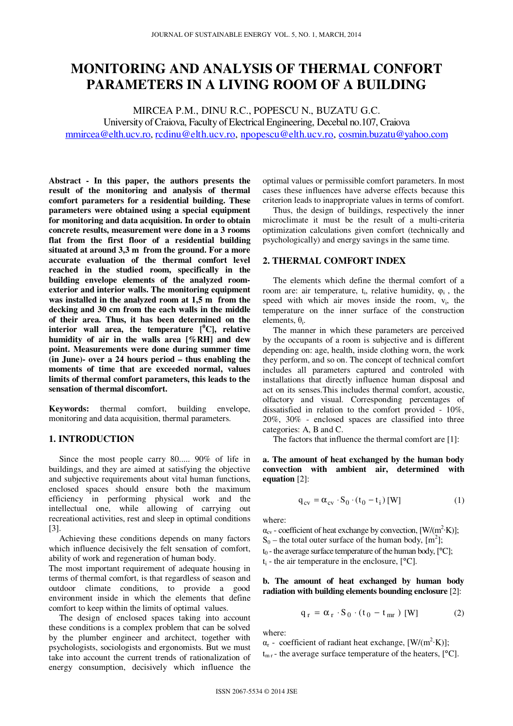# **MONITORING AND ANALYSIS OF THERMAL CONFORT PARAMETERS IN A LIVING ROOM OF A BUILDING**

MIRCEA P.M., DINU R.C., POPESCU N., BUZATU G.C. University of Craiova, Faculty of Electrical Engineering, Decebal no.107, Craiova mmircea@elth.ucv.ro, rcdinu@elth.ucv.ro, npopescu@elth.ucv.ro, cosmin.buzatu@yahoo.com

**Abstract - In this paper, the authors presents the result of the monitoring and analysis of thermal comfort parameters for a residential building. These parameters were obtained using a special equipment for monitoring and data acquisition. In order to obtain concrete results, measurement were done in a 3 rooms flat from the first floor of a residential building situated at around 3,3 m from the ground. For a more accurate evaluation of the thermal comfort level reached in the studied room, specifically in the building envelope elements of the analyzed roomexterior and interior walls. The monitoring equipment was installed in the analyzed room at 1,5 m from the decking and 30 cm from the each walls in the middle of their area. Thus, it has been determined on the interior** wall area, the temperature  $[{}^0C]$ , relative **humidity of air in the walls area [%RH] and dew point. Measurements were done during summer time (in June)- over a 24 hours period – thus enabling the moments of time that are exceeded normal, values limits of thermal comfort parameters, this leads to the sensation of thermal discomfort.** 

**Keywords:** thermal comfort, building envelope, monitoring and data acquisition, thermal parameters.

# **1. INTRODUCTION**

Since the most people carry 80..... 90% of life in buildings, and they are aimed at satisfying the objective and subjective requirements about vital human functions, enclosed spaces should ensure both the maximum efficiency in performing physical work and the intellectual one, while allowing of carrying out recreational activities, rest and sleep in optimal conditions [3].

Achieving these conditions depends on many factors which influence decisively the felt sensation of comfort, ability of work and regeneration of human body.

The most important requirement of adequate housing in terms of thermal comfort, is that regardless of season and outdoor climate conditions, to provide a good environment inside in which the elements that define comfort to keep within the limits of optimal values.

The design of enclosed spaces taking into account these conditions is a complex problem that can be solved by the plumber engineer and architect, together with psychologists, sociologists and ergonomists. But we must take into account the current trends of rationalization of energy consumption, decisively which influence the

optimal values or permissible comfort parameters. In most cases these influences have adverse effects because this criterion leads to inappropriate values in terms of comfort.

Thus, the design of buildings, respectively the inner microclimate it must be the result of a multi-criteria optimization calculations given comfort (technically and psychologically) and energy savings in the same time.

## **2. THERMAL COMFORT INDEX**

The elements which define the thermal comfort of a room are: air temperature,  $t_i$ , relative humidity,  $\varphi_i$ , the speed with which air moves inside the room,  $v_i$ , the temperature on the inner surface of the construction elements,  $\theta_i$ .

The manner in which these parameters are perceived by the occupants of a room is subjective and is different depending on: age, health, inside clothing worn, the work they perform, and so on. The concept of technical comfort includes all parameters captured and controled with installations that directly influence human disposal and act on its senses.This includes thermal comfort, acoustic, olfactory and visual. Corresponding percentages of dissatisfied in relation to the comfort provided - 10%, 20%, 30% - enclosed spaces are classified into three categories: A, B and C.

The factors that influence the thermal comfort are [1]:

**a. The amount of heat exchanged by the human body convection with ambient air, determined with equation** [2]:

$$
\mathbf{q}_{cv} = \alpha_{cv} \cdot \mathbf{S}_0 \cdot (\mathbf{t}_0 - \mathbf{t}_i) \text{ [W]} \tag{1}
$$

where:

 $\alpha_{\text{cv}}$  - coefficient of heat exchange by convection, [W/(m<sup>2</sup>·K)];  $S_0$  – the total outer surface of the human body,  $[m^2]$ ;  $t_0$  - the average surface temperature of the human body,  $[°C]$ ;  $t_i$  - the air temperature in the enclosure, [°C].

### **b. The amount of heat exchanged by human body radiation with building elements bounding enclosure** [2]:

$$
q_r = \alpha_r \cdot S_0 \cdot (t_0 - t_{mr}) \text{ [W]} \tag{2}
$$

where:

 $\alpha_r$  - coefficient of radiant heat exchange, [W/(m<sup>2</sup>·K)];

 $t_{\rm mr}$  - the average surface temperature of the heaters, [ $^{\circ}$ C].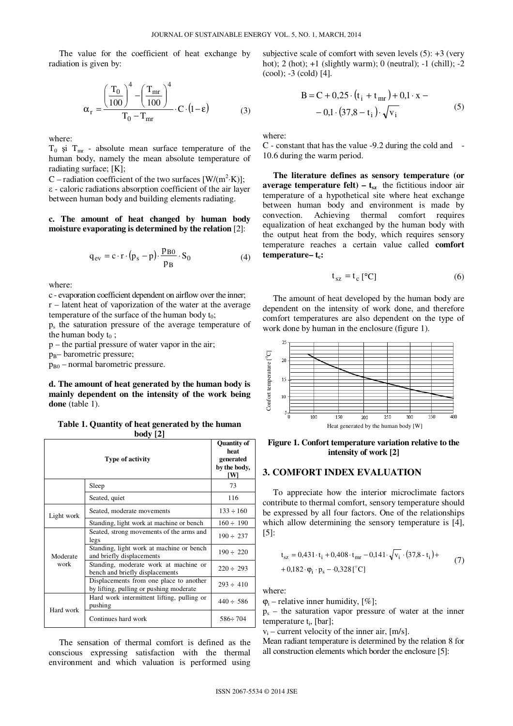The value for the coefficient of heat exchange by radiation is given by:

$$
\alpha_{\rm r} = \frac{\left(\frac{T_0}{100}\right)^4 - \left(\frac{T_{\rm mr}}{100}\right)^4}{T_0 - T_{\rm mr}} \cdot C \cdot (1 - \epsilon) \tag{3}
$$

where:

 $T_0$  si  $T_{\text{mr}}$  - absolute mean surface temperature of the human body, namely the mean absolute temperature of radiating surface; [K];

C – radiation coefficient of the two surfaces  $[W/(m^2 \cdot K)]$ ; ε - caloric radiations absorption coefficient of the air layer between human body and building elements radiating.

### **c. The amount of heat changed by human body moisture evaporating is determined by the relation** [2]:

$$
q_{ev} = c \cdot r \cdot (p_s - p) \cdot \frac{p_{B0}}{p_B} \cdot S_0 \tag{4}
$$

where:

c - evaporation coefficient dependent on airflow over the inner; r – latent heat of vaporization of the water at the average temperature of the surface of the human body  $t_0$ ;

ps the saturation pressure of the average temperature of the human body  $t_0$ ;

p – the partial pressure of water vapor in the air;

 $p_B$ – barometric pressure;

 $p_{B0}$  – normal barometric pressure.

**d. The amount of heat generated by the human body is mainly dependent on the intensity of the work being** done (table 1).

**Table 1. Quantity of heat generated by the human body [2]**

| <b>Type of activity</b> |                                                                                    | <b>Quantity of</b><br>heat<br>generated<br>by the body,<br>ſWl |
|-------------------------|------------------------------------------------------------------------------------|----------------------------------------------------------------|
|                         | Sleep                                                                              | 73                                                             |
|                         | Seated, quiet                                                                      | 116                                                            |
| Light work              | Seated, moderate movements                                                         | $133 \div 160$                                                 |
|                         | Standing, light work at machine or bench                                           | $160 \div 190$                                                 |
| Moderate<br>work        | Seated, strong movements of the arms and<br>legs                                   | $190 \div 237$                                                 |
|                         | Standing, light work at machine or bench<br>and briefly displacements              | $190 \div 220$                                                 |
|                         | Standing, moderate work at machine or<br>bench and briefly displacements           | $220 \div 293$                                                 |
|                         | Displacements from one place to another<br>by lifting, pulling or pushing moderate | $293 \div 410$                                                 |
| Hard work               | Hard work intermittent lifting, pulling or<br>pushing                              | $440 \div 586$                                                 |
|                         | Continues hard work                                                                | $586 \div 704$                                                 |

The sensation of thermal comfort is defined as the conscious expressing satisfaction with the thermal environment and which valuation is performed using

subjective scale of comfort with seven levels  $(5)$ :  $+3$  (very hot); 2 (hot); +1 (slightly warm); 0 (neutral); -1 (chill); -2 (cool); -3 (cold) [4].

B = C + 0,25 · (t<sub>i</sub> + t<sub>mr</sub>) + 0,1 · x –  
- 0,1 · (37,8 – t<sub>i</sub>) · 
$$
\sqrt{v_i}
$$
 (5)

where:

C - constant that has the value -9.2 during the cold and - 10.6 during the warm period.

**The literature defines as sensory temperature (or average temperature felt) –**  $t_{sz}$  **the fictitious indoor air** temperature of a hypothetical site where heat exchange between human body and environment is made by convection. Achieving thermal comfort requires equalization of heat exchanged by the human body with the output heat from the body, which requires sensory temperature reaches a certain value called **comfort temperature– tc:** 

$$
t_{sz} = t_c [^{\circ}C]
$$
 (6)

The amount of heat developed by the human body are dependent on the intensity of work done, and therefore comfort temperatures are also dependent on the type of work done by human in the enclosure (figure 1).



**Figure 1. Confort temperature variation relative to the intensity of work [2]** 

#### **3. COMFORT INDEX EVALUATION**

To appreciate how the interior microclimate factors contribute to thermal comfort, sensory temperature should be expressed by all four factors. One of the relationships which allow determining the sensory temperature is [4], [5]:

$$
t_{sz} = 0,431 \cdot t_i + 0,408 \cdot t_{mr} - 0,141 \cdot \sqrt{v_i} \cdot (37.8 - t_i) ++ 0,182 \cdot \varphi_i \cdot p_s - 0,328 [^{\circ}C]
$$
 (7)

where:

 $\varphi$ <sub>i</sub> – relative inner humidity, [%];

ps – the saturation vapor pressure of water at the inner temperature t<sub>i</sub>, [bar];

vi – current velocity of the inner air, [m/s].

Mean radiant temperature is determined by the relation 8 for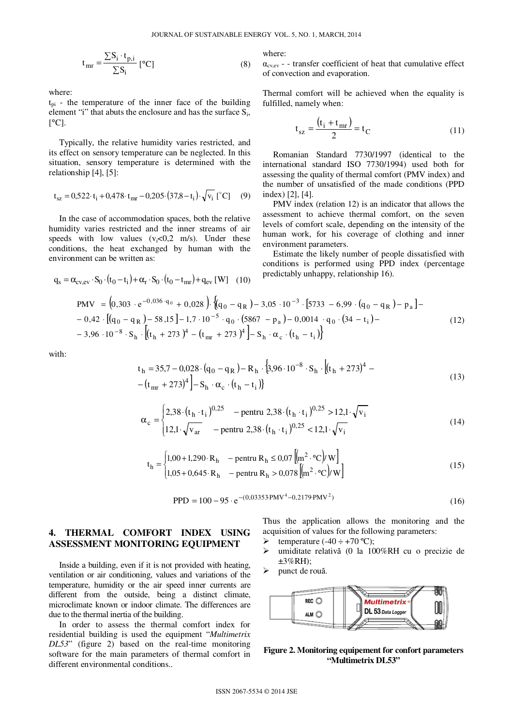$$
t_{mr} = \frac{\sum S_i \cdot t_{p,i}}{\sum S_i} [^{\circ}C]
$$
 (8)

where:

 $t_{pi}$  - the temperature of the inner face of the building element "i" that abuts the enclosure and has the surface  $S_i$ ,  $\lceil$ <sup>o</sup>C].

Typically, the relative humidity varies restricted, and its effect on sensory temperature can be neglected. In this situation, sensory temperature is determined with the relationship [4], [5]:

$$
t_{sz} = 0.522 \tcdot t_i + 0.478 \tcdot t_{mr} - 0.205 \tcdot (37.8 - t_i) \cdot \sqrt{v_i} \tbinom{°C}{}
$$
 (9)

In the case of accommodation spaces, both the relative humidity varies restricted and the inner streams of air speeds with low values  $(v_i<0,2 \text{ m/s})$ . Under these conditions, the heat exchanged by human with the environment can be written as:

$$
q_{s} = \alpha_{\text{cv,ev}} \cdot S_{0} \cdot (t_{0} - t_{i}) + \alpha_{r} \cdot S_{0} \cdot (t_{0} - t_{mr}) + q_{\text{ev}} \text{ [W]} \quad (10)
$$
  
PMV =  $(0,303 \cdot e^{-0,036 \cdot q_{0}} + 0,028)$ .  $\{(q_{0} - q_{R})\}$ 

where:

 $\alpha_{\text{cvev}}$  - transfer coefficient of heat that cumulative effect of convection and evaporation.

Thermal comfort will be achieved when the equality is fulfilled, namely when:

$$
t_{sz} = \frac{(t_i + t_{mr})}{2} = t_C
$$
 (11)

Romanian Standard 7730/1997 (identical to the international standard ISO 7730/1994) used both for assessing the quality of thermal comfort (PMV index) and the number of unsatisfied of the made conditions (PPD index) [2], [4].

PMV index (relation 12) is an indicator that allows the assessment to achieve thermal comfort, on the seven levels of comfort scale, depending on the intensity of the human work, for his coverage of clothing and inner environment parameters.

Estimate the likely number of people dissatisfied with conditions is performed using PPD index (percentage predictably unhappy, relationship 16).

$$
PMV = \left(0,303 \cdot e^{-0,036 \cdot q_0} + 0,028\right) \cdot \left\{\left(q_0 - q_R\right) - 3,05 \cdot 10^{-3} \cdot \left[5733 - 6,99 \cdot \left(q_0 - q_R\right) - p_a\right] - 0,42 \cdot \left[\left(q_0 - q_R\right) - 58,15\right] - 1,7 \cdot 10^{-5} \cdot q_0 \cdot \left(5867 - p_a\right) - 0,0014 \cdot q_0 \cdot \left(34 - t_i\right) - 3,96 \cdot 10^{-8} \cdot S_h \cdot \left[\left(t_h + 273\right)^4 - \left(t_{mr} + 273\right)^4\right] - S_h \cdot \alpha_c \cdot \left(t_h - t_i\right)\right\}
$$
\n(12)

with:

$$
t_h = 35.7 - 0.028 \cdot (q_0 - q_R) - R_h \cdot \{3.96 \cdot 10^{-8} \cdot S_h \cdot \left[ (t_h + 273)^4 - (t_{mr} + 273)^4 \right] - S_h \cdot \alpha_c \cdot (t_h - t_i) \}
$$
\n(13)

$$
\alpha_{\rm c} = \begin{cases} 2.38 \cdot (t_{\rm h} \cdot t_{\rm i})^{0.25} & - \text{pentru } 2.38 \cdot (t_{\rm h} \cdot t_{\rm i})^{0.25} > 12.1 \cdot \sqrt{\mathrm{v}_{\rm i}} \\ 12.1 \cdot \sqrt{\mathrm{v}_{\rm ar}} & - \text{pentru } 2.38 \cdot (t_{\rm h} \cdot t_{\rm i})^{0.25} < 12.1 \cdot \sqrt{\mathrm{v}_{\rm i}} \end{cases} \tag{14}
$$

$$
t_{h} =\begin{cases} 1,00+1,290 \cdot R_{h} & -\text{ pentru } R_{h} \le 0,07 \left[ \text{m}^{2} \cdot {}^{\circ}\text{C} \right] / \text{W} \right] \\ 1,05+0,645 \cdot R_{h} & -\text{ pentru } R_{h} > 0,078 \left[ \text{m}^{2} \cdot {}^{\circ}\text{C} \right] / \text{W} \end{cases}
$$
 (15)

$$
PPD = 100 - 95 \cdot e^{-(0.03353 \cdot PMV^4 - 0.2179 \cdot PMV^2)}
$$
\n(16)

# **4. THERMAL COMFORT INDEX USING ASSESSMENT MONITORING EQUIPMENT**

Inside a building, even if it is not provided with heating, ventilation or air conditioning, values and variations of the temperature, humidity or the air speed inner currents are different from the outside, being a distinct climate, microclimate known or indoor climate. The differences are due to the thermal inertia of the building.

In order to assess the thermal comfort index for residential building is used the equipment "*Multimetrix DL53*" (figure 2) based on the real-time monitoring software for the main parameters of thermal comfort in different environmental conditions..

Thus the application allows the monitoring and the acquisition of values for the following parameters:

- Example 140 ÷ +70 °C);
- umiditate relativă (0 la 100%RH cu o precizie de  $\pm 3\%$ RH);
- > punct de rouă.



**Figure 2. Monitoring equipement for confort parameters "Multimetrix DL53"**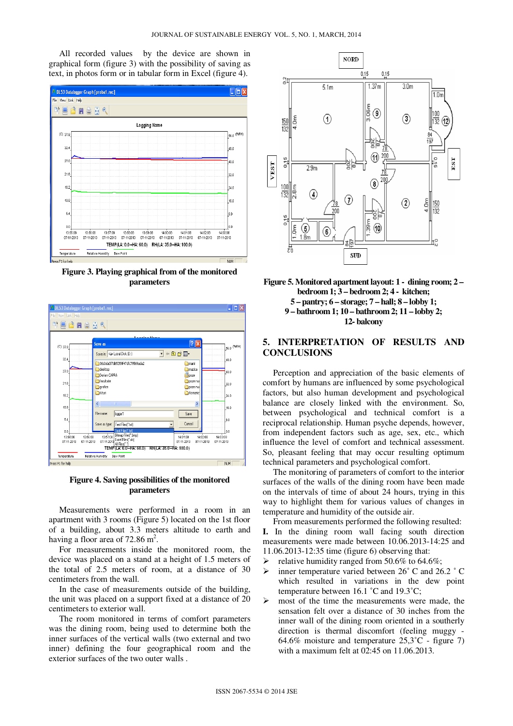All recorded values by the device are shown in graphical form (figure 3) with the possibility of saving as text, in photos form or in tabular form in Excel (figure 4).



**Figure 3. Playing graphical from of the monitored parameters** 



**Figure 4. Saving possibilities of the monitored parameters** 

Measurements were performed in a room in an apartment with 3 rooms (Figure 5) located on the 1st floor of a building, about 3.3 meters altitude to earth and having a floor area of 72.86  $m^2$ .

For measurements inside the monitored room, the device was placed on a stand at a height of 1.5 meters of the total of 2.5 meters of room, at a distance of 30 centimeters from the wall.

In the case of measurements outside of the building, the unit was placed on a support fixed at a distance of 20 centimeters to exterior wall.

The room monitored in terms of comfort parameters was the dining room, being used to determine both the inner surfaces of the vertical walls (two external and two inner) defining the four geographical room and the exterior surfaces of the two outer walls .



**Figure 5. Monitored apartment layout: 1 - dining room; 2 – bedroom 1; 3 – bedroom 2; 4 - kitchen; 5 – pantry; 6 – storage; 7 – hall; 8 – lobby 1; 9 – bathroom 1; 10 – bathroom 2; 11 – lobby 2; 12- balcony** 

# **5. INTERPRETATION OF RESULTS AND CONCLUSIONS**

Perception and appreciation of the basic elements of comfort by humans are influenced by some psychological factors, but also human development and psychological balance are closely linked with the environment. So, between psychological and technical comfort is a reciprocal relationship. Human psyche depends, however, from independent factors such as age, sex, etc., which influence the level of comfort and technical assessment. So, pleasant feeling that may occur resulting optimum technical parameters and psychological comfort.

The monitoring of parameters of comfort to the interior surfaces of the walls of the dining room have been made on the intervals of time of about 24 hours, trying in this way to highlight them for various values of changes in temperature and humidity of the outside air.

From measurements performed the following resulted: **I.** In the dining room wall facing south direction measurements were made between 10.06.2013-14:25 and

- 11.06.2013-12:35 time (figure 6) observing that:
- relative humidity ranged from 50.6% to 64.6%;
- inner temperature varied between 26˚ C and 26.2 ˚ C which resulted in variations in the dew point temperature between 16.1 ˚C and 19.3˚C;
- $\triangleright$  most of the time the measurements were made, the sensation felt over a distance of 30 inches from the inner wall of the dining room oriented in a southerly direction is thermal discomfort (feeling muggy - 64.6% moisture and temperature  $25.3^{\circ}$ C - figure 7) with a maximum felt at 02:45 on 11.06.2013.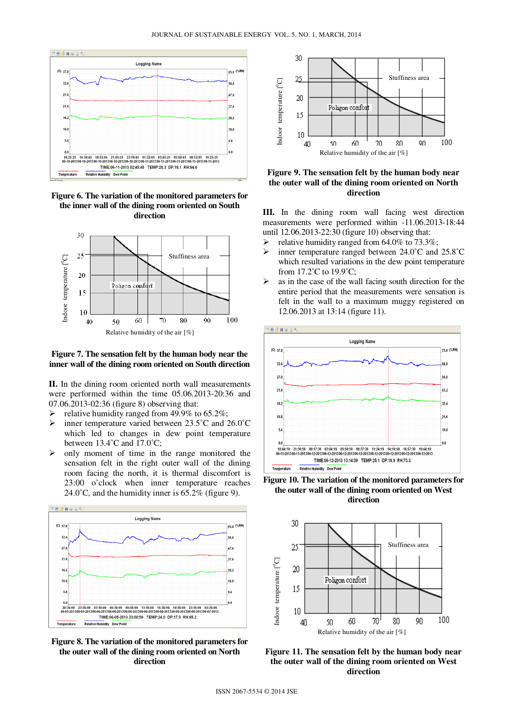

**Figure 6. The variation of the monitored parameters for the inner wall of the dining room oriented on South direction** 



### **Figure 7. The sensation felt by the human body near the inner wall of the dining room oriented on South direction**

**II.** In the dining room oriented north wall measurements were performed within the time 05.06.2013-20:36 and 07.06.2013-02:36 (figure 8) observing that:

- relative humidity ranged from 49.9% to 65.2%;
- $\triangleright$  inner temperature varied between 23.5°C and 26.0°C which led to changes in dew point temperature between 13.4˚C and 17.0˚C;
- $\triangleright$  only moment of time in the range monitored the sensation felt in the right outer wall of the dining room facing the north, it is thermal discomfort is 23:00 o'clock when inner temperature reaches 24.0 $^{\circ}$ C, and the humidity inner is 65.2% (figure 9).



**Figure 8. The variation of the monitored parameters for the outer wall of the dining room oriented on North direction** 



**Figure 9. The sensation felt by the human body near the outer wall of the dining room oriented on North direction** 

**III.** In the dining room wall facing west direction measurements were performed within -11.06.2013-18:44 until 12.06.2013-22:30 (figure 10) observing that:

- relative humidity ranged from 64.0% to 73.3%;
- $\triangleright$  inner temperature ranged between 24.0°C and 25.8°C which resulted variations in the dew point temperature from 17.2˚C to 19.9˚C;
- $\triangleright$  as in the case of the wall facing south direction for the entire period that the measurements were sensation is felt in the wall to a maximum muggy registered on 12.06.2013 at 13:14 (figure 11).



**Figure 10. The variation of the monitored parameters for the outer wall of the dining room oriented on West direction**